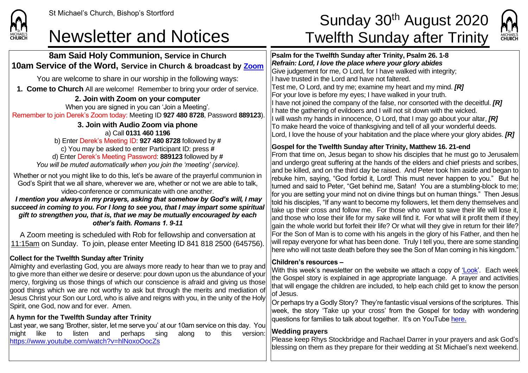

## **8am Said Holy Communion, Service in Church 10am Service of the Word, Service in Church & broadcast by [Zoom](https://zoom.us/)**

You are welcome to share in our worship in the following ways:

**1. Come to Church** All are welcome! Remember to bring your order of service.

**2. Join with Zoom on your computer** When you are signed in you can 'Join a Meeting'. Remember to join Derek's Zoom today: Meeting ID **927 480 8728**, Password **889123**).

**3. Join with Audio Zoom via phone** a) Call **0131 460 1196** b) Enter Derek's Meeting ID: **927 480 8728** followed by **#** c) You may be asked to enter Participant ID: press **#** d) Enter Derek's Meeting Password: **889123** followed by **#** *You will be muted automatically when you join the 'meeting' (service).*

Whether or not you might like to do this, let's be aware of the prayerful communion in God's Spirit that we all share, wherever we are, whether or not we are able to talk, video-conference or communicate with one another.

*I mention you always in my prayers, asking that somehow by God's will, I may succeed in coming to you. For I long to see you, that I may impart some spiritual gift to strengthen you, that is, that we may be mutually encouraged by each other's faith. Romans 1. 9-11*

A Zoom meeting is scheduled with Rob for fellowship and conversation at 11:15am on Sunday. To join, please enter Meeting ID 841 818 2500 (645756).

### **Collect for the Twelfth Sunday after Trinity**

Almighty and everlasting God, you are always more ready to hear than we to pray and to give more than either we desire or deserve: pour down upon us the abundance of your mercy, forgiving us those things of which our conscience is afraid and giving us those good things which we are not worthy to ask but through the merits and mediation of Jesus Christ your Son our Lord, who is alive and reigns with you, in the unity of the Holy Spirit, one God, now and for ever. Amen.

#### **A hymn for the Twelfth Sunday after Trinity**

Last year, we sang 'Brother, sister, let me serve you' at our 10am service on this day. You might like to listen and perhaps sing along to this version: <https://www.youtube.com/watch?v=hlNoxoOocZs>

# St Michael's Church, Bishop's Stortford **Sunday 30<sup>th</sup> August 2020** Newsletter and Notices Twelfth Sunday after Trinity



**Psalm for the Twelfth Sunday after Trinity, Psalm 26. 1-8** *Refrain: Lord, I love the place where your glory abides* Give judgement for me, O Lord, for I have walked with integrity; II have trusted in the Lord and have not faltered. Test me, O Lord, and try me; examine my heart and my mind. *[R]* For your love is before my eyes; I have walked in your truth. If have not joined the company of the false, nor consorted with the deceitful. *[R]* I hate the gathering of evildoers and I will not sit down with the wicked. I will wash my hands in innocence, O Lord, that I may go about your altar, *[R]* To make heard the voice of thanksgiving and tell of all your wonderful deeds. Lord, I love the house of your habitation and the place where your glory abides. *[R]*

#### **Gospel for the Twelfth Sunday after Trinity, Matthew 16. 21-end**

From that time on, Jesus began to show his disciples that he must go to Jerusalem and undergo great suffering at the hands of the elders and chief priests and scribes. and be killed, and on the third day be raised. And Peter took him aside and began to rebuke him, saying, "God forbid it, Lord! This must never happen to you." But he turned and said to Peter, "Get behind me, Satan! You are a stumbling-block to me; for you are setting your mind not on divine things but on human things." Then Jesus told his disciples, "If any want to become my followers, let them deny themselves and take up their cross and follow me. For those who want to save their life will lose it, and those who lose their life for my sake will find it. For what will it profit them if they  $\alpha$ ain the whole world but forfeit their life? Or what will they give in return for their life? For the Son of Man is to come with his angels in the glory of his Father, and then he will repay everyone for what has been done. Truly I tell you, there are some standing here who will not taste death before they see the Son of Man coming in his kingdom."

#### **Children's resources –**

With this week's newsletter on the website we attach a copy of ['Look'.](https://saintmichaelweb.org.uk/Articles/542815/_Newsletter.aspx) Each week the Gospel story is explained in age appropriate language. A prayer and activities that will engage the children are included, to help each child get to know the person of Jesus.

Or perhaps try a Godly Story? They're fantastic visual versions of the scriptures. This week, the story 'Take up your cross' from the Gospel for today with wondering  $|$ questions for families to talk about together. It's on YouTube [here](https://www.youtube.com/watch?v=Hnr9FT9lAJM).

#### **Wedding prayers**

Please keep Rhys Stockbridge and Rachael Darrer in your prayers and ask God's blessing on them as they prepare for their wedding at St Michael's next weekend.